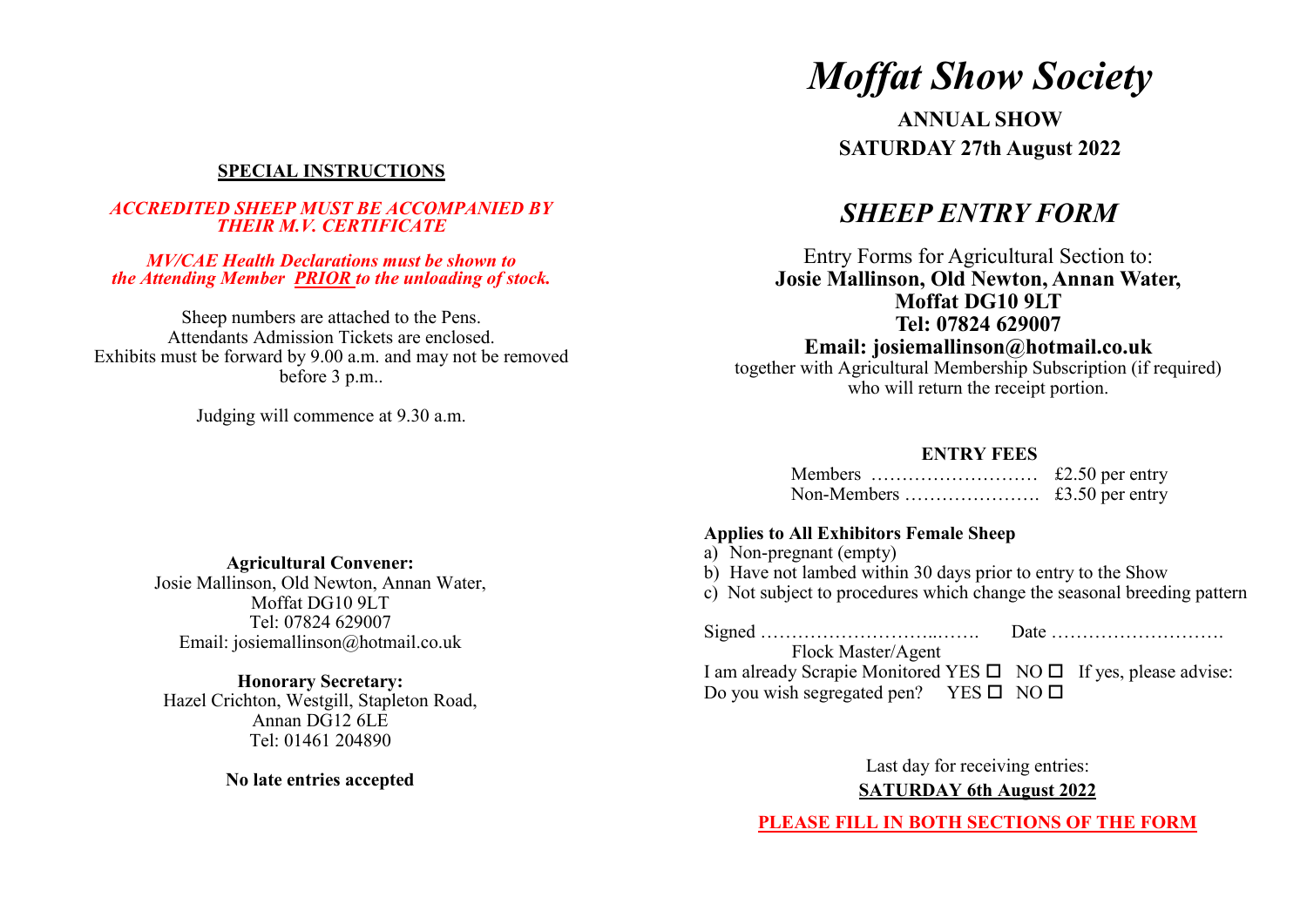## **SPECIAL INSTRUCTIONS**

### *ACCREDITED SHEEP MUST BE ACCOMPANIED BY THEIR M.V. CERTIFICATE*

#### *MV/CAE Health Declarations must be shown to the Attending Member PRIOR to the unloading of stock.*

Sheep numbers are attached to the Pens. Attendants Admission Tickets are enclosed. Exhibits must be forward by 9.00 a.m. and may not be removed before 3 p.m..

Judging will commence at 9.30 a.m.

# *Moffat Show Society*

**ANNUAL SHOW SATURDAY 27th August 2022**

# *SHEEP ENTRY FORM*

Entry Forms for Agricultural Section to: **Josie Mallinson, Old Newton, Annan Water, Moffat DG10 9LT Tel: 07824 629007**

**Email: josiemallinson@hotmail.co.uk** together with Agricultural Membership Subscription (if required)

who will return the receipt portion.

### **ENTRY FEES**

| Members | £2.50 per entry |
|---------|-----------------|
|         | £3.50 per entry |

### **Applies to All Exhibitors Female Sheep**

- a) Non-pregnant (empty)
- b) Have not lambed within 30 days prior to entry to the Show
- c) Not subject to procedures which change the seasonal breeding pattern

Signed ………………………..……. Date ………………………. Flock Master/Agent I am already Scrapie Monitored YES  $\Box$  NO  $\Box$  If yes, please advise: Do you wish segregated pen? YES  $\square$  NO  $\square$ 

> Last day for receiving entries: **SATURDAY 6th August 2022**

**PLEASE FILL IN BOTH SECTIONS OF THE FORM**

**Agricultural Convener:** Josie Mallinson, Old Newton, Annan Water, Moffat DG10 9LT

Tel: 07824 629007 Email: josiemallinson@hotmail.co.uk

**Honorary Secretary:** Hazel Crichton, Westgill, Stapleton Road, Annan DG12 6LE Tel: 01461 204890

**No late entries accepted**